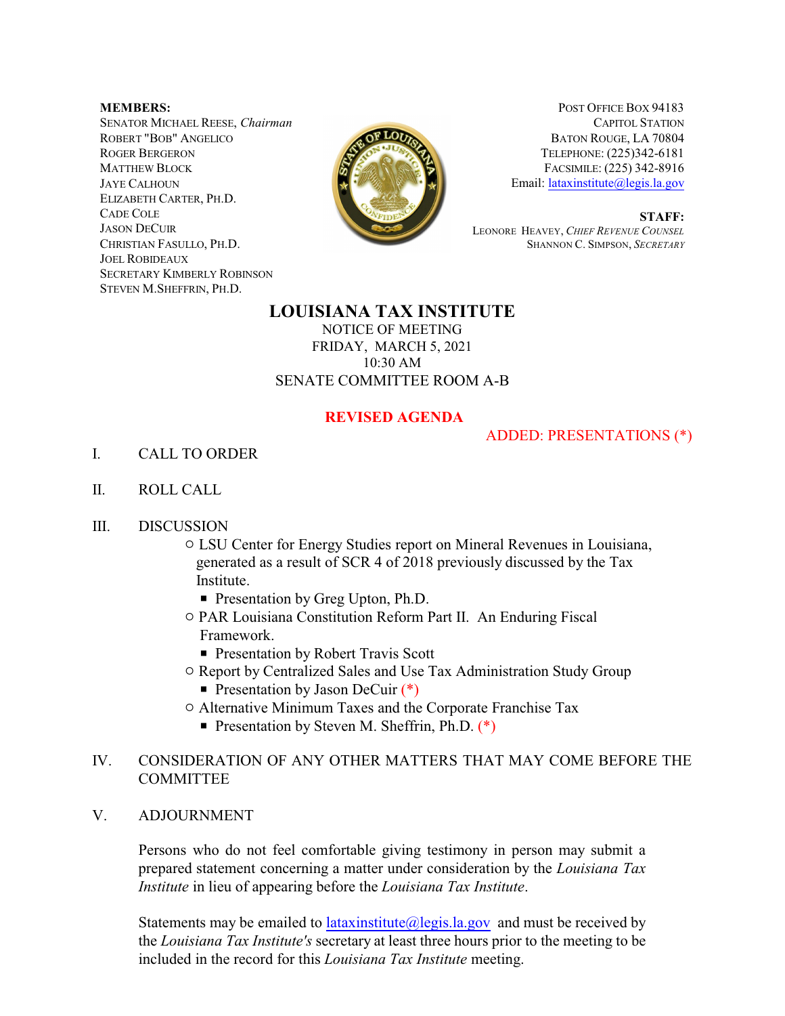**MEMBERS:** SENATOR MICHAEL REESE, *Chairman* ROBERT "BOB" ANGELICO ROGER BERGERON MATTHEW BLOCK JAYE CALHOUN ELIZABETH CARTER, PH.D. CADE COLE JASON DECUIR CHRISTIAN FASULLO, PH.D. JOEL ROBIDEAUX SECRETARY KIMBERLY ROBINSON STEVEN M.SHEFFRIN, PH.D.



POST OFFICE BOX 94183 CAPITOL STATION BATON ROUGE, LA 70804 TELEPHONE: (225)342-6181 FACSIMILE: (225) 342-8916 Email: [lataxinstitute@legis.la.gov](mailto:LaTaxInstitute@legis.la.gov)

 **S T A FF:** LEONORE HEAVEY, *CHIEF REVENUE COUNSEL* SHANNON C. SIMPSON, *SECRETARY*

## **LOUISIANA TAX INSTITUTE**

NOTICE OF MEETING FRIDAY, MARCH 5, 2021 10:30 AM SENATE COMMITTEE ROOM A-B

## **REVISED AGENDA**

## ADDED: PRESENTATIONS (\*)

- I. CALL TO ORDER
- II. ROLL CALL
- III. DISCUSSION
	- $\circ$  LSU Center for Energy Studies report on Mineral Revenues in Louisiana, generated as a result of SCR 4 of 2018 previously discussed by the Tax Institute.
		- **Presentation by Greg Upton, Ph.D.**
	- $\circ$  PAR Louisiana Constitution Reform Part II. An Enduring Fiscal Framework.
		- **Presentation by Robert Travis Scott**
	- $\circ$  Report by Centralized Sales and Use Tax Administration Study Group
		- Presentation by Jason DeCuir  $(*)$
	- $\circ$  Alternative Minimum Taxes and the Corporate Franchise Tax
		- Presentation by Steven M. Sheffrin, Ph.D.  $(*)$
- IV. CONSIDERATION OF ANY OTHER MATTERS THAT MAY COME BEFORE THE **COMMITTEE**
- V. ADJOURNMENT

Persons who do not feel comfortable giving testimony in person may submit a prepared statement concerning a matter under consideration by the *Louisiana Tax Institute* in lieu of appearing before the *Louisiana Tax Institute*.

Statements may be emailed to  $lataxinstitute@legis.la.gov$  and must be received by the *Louisiana Tax Institute's* secretary at least three hours prior to the meeting to be included in the record for this *Louisiana Tax Institute* meeting.